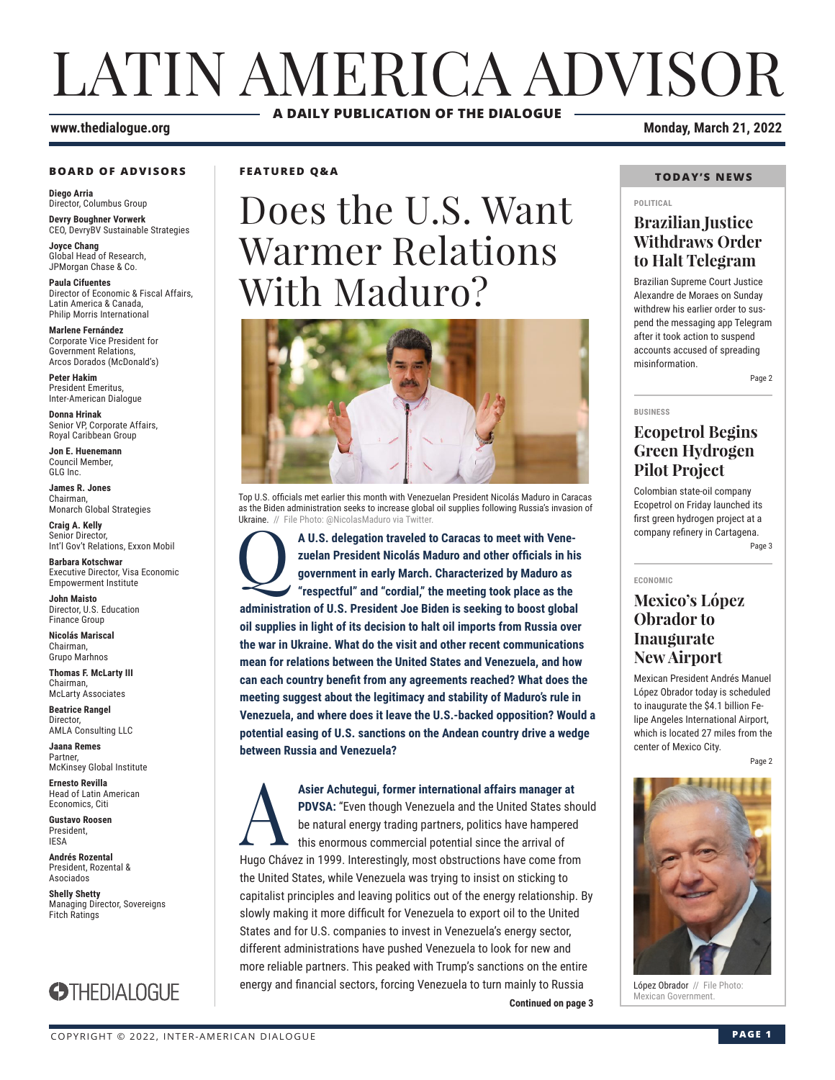# LATIN AMERICA ADVISOR **A DAILY PUBLICATION OF THE DIALOGUE**

#### **www.thedialogue.org Monday, March 21, 2022**

#### **BOARD OF ADVISORS**

**Diego Arria** Director, Columbus Group **Devry Boughner Vorwerk**

CEO, DevryBV Sustainable Strategies **Joyce Chang**

Global Head of Research, JPMorgan Chase & Co.

**Paula Cifuentes** Director of Economic & Fiscal Affairs, Latin America & Canada, Philip Morris International

**Marlene Fernández** Corporate Vice President for Government Relations, Arcos Dorados (McDonald's)

**Peter Hakim** President Emeritus, Inter-American Dialogue

**Donna Hrinak** Senior VP, Corporate Affairs, Royal Caribbean Group

**Jon E. Huenemann** Council Member, GLG Inc.

**James R. Jones** Chairman, Monarch Global Strategies

**Craig A. Kelly** Senior Director, Int'l Gov't Relations, Exxon Mobil

**Barbara Kotschwar** Executive Director, Visa Economic Empowerment Institute

**John Maisto** Director, U.S. Education Finance Group

**Nicolás Mariscal** Chairman, Grupo Marhnos

**Thomas F. McLarty III** Chairman, McLarty Associates

**Beatrice Rangel**  Director, AMLA Consulting LLC

**Jaana Remes** Partner, McKinsey Global Institute

**Ernesto Revilla**  Head of Latin American Economics, Citi

**Gustavo Roosen** President, IESA

**Andrés Rozental**  President, Rozental & Asociados

**Shelly Shetty** Managing Director, Sovereigns Fitch Ratings



#### **FEATURED Q&A**

# Does the U.S. Want Warmer Relations With Maduro?



Top U.S. officials met earlier this month with Venezuelan President Nicolás Maduro in Caracas as the Biden administration seeks to increase global oil supplies following Russia's invasion of Ukraine. // File Photo: @NicolasMaduro via Twitter

A U.S. delegation traveled to Caracas to meet with Vene**zuelan President Nicolás Maduro and other officials in his government in early March. Characterized by Maduro as "respectful" and "cordial," the meeting took place as the administration of U.S. President Joe Biden is seeking to boost global oil supplies in light of its decision to halt oil imports from Russia over the war in Ukraine. What do the visit and other recent communications mean for relations between the United States and Venezuela, and how can each country benefit from any agreements reached? What does the meeting suggest about the legitimacy and stability of Maduro's rule in Venezuela, and where does it leave the U.S.-backed opposition? Would a potential easing of U.S. sanctions on the Andean country drive a wedge between Russia and Venezuela?**

**Continued on page 3** Asier Achutegui, former international affairs manager at<br> **PDVSA:** "Even though Venezuela and the United States she<br>
be natural energy trading partners, politics have hampered<br>
this enormous commercial potential since the **PDVSA:** "Even though Venezuela and the United States should be natural energy trading partners, politics have hampered this enormous commercial potential since the arrival of Hugo Chávez in 1999. Interestingly, most obstructions have come from the United States, while Venezuela was trying to insist on sticking to capitalist principles and leaving politics out of the energy relationship. By slowly making it more difficult for Venezuela to export oil to the United States and for U.S. companies to invest in Venezuela's energy sector, different administrations have pushed Venezuela to look for new and more reliable partners. This peaked with Trump's sanctions on the entire energy and financial sectors, forcing Venezuela to turn mainly to Russia

#### **TODAY'S NEWS**

#### **POLITICAL**

#### **Brazilian Justice Withdraws Order to Halt Telegram**

Brazilian Supreme Court Justice Alexandre de Moraes on Sunday withdrew his earlier order to suspend the messaging app Telegram after it took action to suspend accounts accused of spreading misinformation.

Page 2

#### **BUSINESS**

**ECONOMIC**

### **Ecopetrol Begins Green Hydrogen Pilot Project**

Colombian state-oil company Ecopetrol on Friday launched its first green hydrogen project at a company refinery in Cartagena. Page 3

### **Mexico's López Obrador to Inaugurate New Airport**

Mexican President Andrés Manuel López Obrador today is scheduled to inaugurate the \$4.1 billion Felipe Angeles International Airport, which is located 27 miles from the center of Mexico City.

Page 2



López Obrador // File Photo:<br>Mexican Government.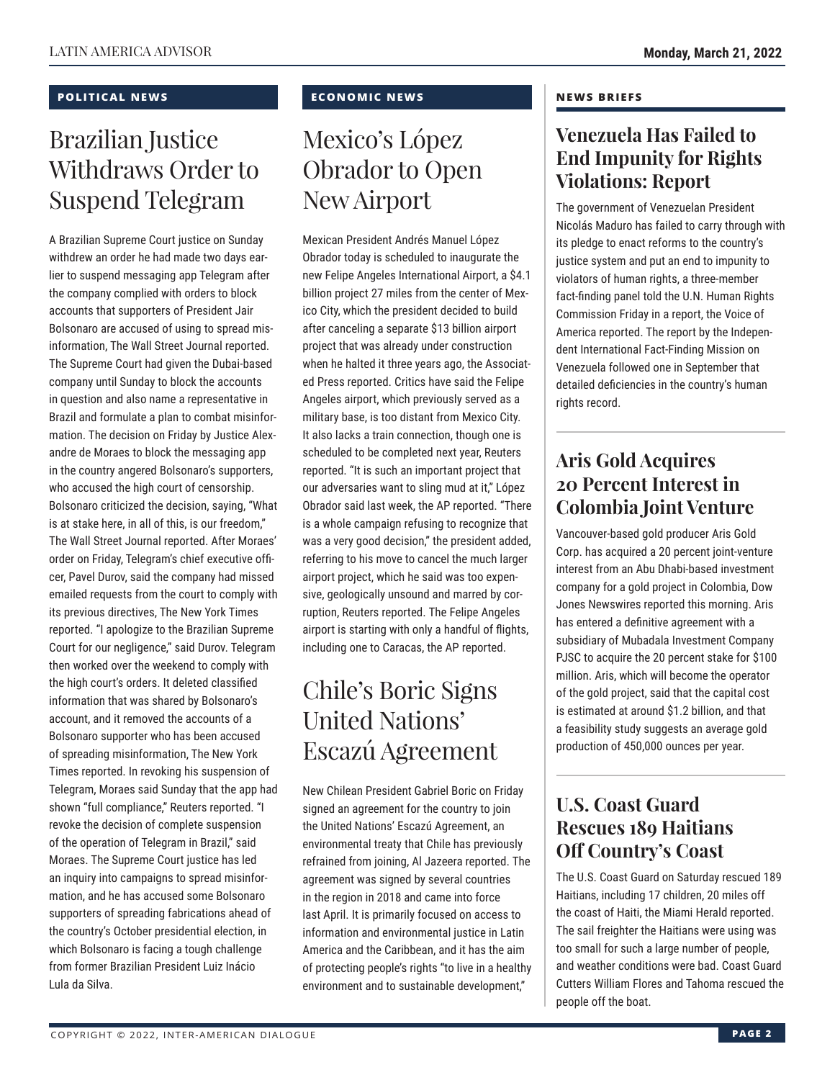#### **POLITICAL NEWS**

## Brazilian Justice Withdraws Order to Suspend Telegram

A Brazilian Supreme Court justice on Sunday withdrew an order he had made two days earlier to suspend messaging app Telegram after the company complied with orders to block accounts that supporters of President Jair Bolsonaro are accused of using to spread misinformation, The Wall Street Journal reported. The Supreme Court had given the Dubai-based company until Sunday to block the accounts in question and also name a representative in Brazil and formulate a plan to combat misinformation. The decision on Friday by Justice Alexandre de Moraes to block the messaging app in the country angered Bolsonaro's supporters, who accused the high court of censorship. Bolsonaro criticized the decision, saying, "What is at stake here, in all of this, is our freedom," The Wall Street Journal reported. After Moraes' order on Friday, Telegram's chief executive officer, Pavel Durov, said the company had missed emailed requests from the court to comply with its previous directives, The New York Times reported. "I apologize to the Brazilian Supreme Court for our negligence," said Durov. Telegram then worked over the weekend to comply with the high court's orders. It deleted classified information that was shared by Bolsonaro's account, and it removed the accounts of a Bolsonaro supporter who has been accused of spreading misinformation, The New York Times reported. In revoking his suspension of Telegram, Moraes said Sunday that the app had shown "full compliance," Reuters reported. "I revoke the decision of complete suspension of the operation of Telegram in Brazil," said Moraes. The Supreme Court justice has led an inquiry into campaigns to spread misinformation, and he has accused some Bolsonaro supporters of spreading fabrications ahead of the country's October presidential election, in which Bolsonaro is facing a tough challenge from former Brazilian President Luiz Inácio Lula da Silva.

#### **ECONOMIC NEWS**

## Mexico's López Obrador to Open New Airport

Mexican President Andrés Manuel López Obrador today is scheduled to inaugurate the new Felipe Angeles International Airport, a \$4.1 billion project 27 miles from the center of Mexico City, which the president decided to build after canceling a separate \$13 billion airport project that was already under construction when he halted it three years ago, the Associated Press reported. Critics have said the Felipe Angeles airport, which previously served as a military base, is too distant from Mexico City. It also lacks a train connection, though one is scheduled to be completed next year, Reuters reported. "It is such an important project that our adversaries want to sling mud at it," López Obrador said last week, the AP reported. "There is a whole campaign refusing to recognize that was a very good decision," the president added, referring to his move to cancel the much larger airport project, which he said was too expensive, geologically unsound and marred by corruption, Reuters reported. The Felipe Angeles airport is starting with only a handful of flights, including one to Caracas, the AP reported.

## Chile's Boric Signs United Nations' Escazú Agreement

New Chilean President Gabriel Boric on Friday signed an agreement for the country to join the United Nations' Escazú Agreement, an environmental treaty that Chile has previously refrained from joining, Al Jazeera reported. The agreement was signed by several countries in the region in 2018 and came into force last April. It is primarily focused on access to information and environmental justice in Latin America and the Caribbean, and it has the aim of protecting people's rights "to live in a healthy environment and to sustainable development,"

#### **NEWS BRIEFS**

### **Venezuela Has Failed to End Impunity for Rights Violations: Report**

The government of Venezuelan President Nicolás Maduro has failed to carry through with its pledge to enact reforms to the country's justice system and put an end to impunity to violators of human rights, a three-member fact-finding panel told the U.N. Human Rights Commission Friday in a report, the Voice of America reported. The report by the Independent International Fact-Finding Mission on Venezuela followed one in September that detailed deficiencies in the country's human rights record.

### **Aris Gold Acquires 20 Percent Interest in Colombia Joint Venture**

Vancouver-based gold producer Aris Gold Corp. has acquired a 20 percent joint-venture interest from an Abu Dhabi-based investment company for a gold project in Colombia, Dow Jones Newswires reported this morning. Aris has entered a definitive agreement with a subsidiary of Mubadala Investment Company PJSC to acquire the 20 percent stake for \$100 million. Aris, which will become the operator of the gold project, said that the capital cost is estimated at around \$1.2 billion, and that a feasibility study suggests an average gold production of 450,000 ounces per year.

### **U.S. Coast Guard Rescues 189 Haitians Off Country's Coast**

The U.S. Coast Guard on Saturday rescued 189 Haitians, including 17 children, 20 miles off the coast of Haiti, the Miami Herald reported. The sail freighter the Haitians were using was too small for such a large number of people, and weather conditions were bad. Coast Guard Cutters William Flores and Tahoma rescued the people off the boat.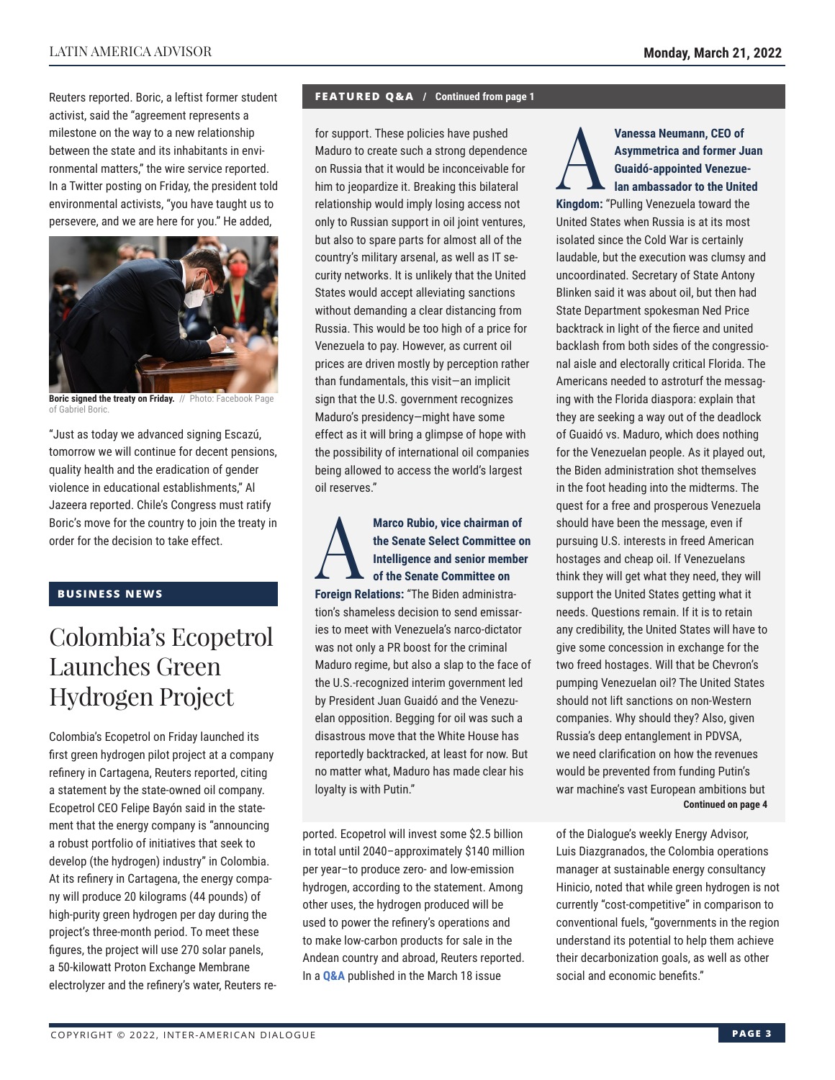Reuters reported. Boric, a leftist former student activist, said the "agreement represents a milestone on the way to a new relationship between the state and its inhabitants in environmental matters," the wire service reported. In a Twitter posting on Friday, the president told environmental activists, "you have taught us to persevere, and we are here for you." He added,



**Boric signed the treaty on Friday.** // Photo: Facebook Page of Gabriel Boric.

"Just as today we advanced signing Escazú, tomorrow we will continue for decent pensions, quality health and the eradication of gender violence in educational establishments," Al Jazeera reported. Chile's Congress must ratify Boric's move for the country to join the treaty in order for the decision to take effect.

#### **BUSINESS NEWS**

### Colombia's Ecopetrol Launches Green Hydrogen Project

Colombia's Ecopetrol on Friday launched its first green hydrogen pilot project at a company refinery in Cartagena, Reuters reported, citing a statement by the state-owned oil company. Ecopetrol CEO Felipe Bayón said in the statement that the energy company is "announcing a robust portfolio of initiatives that seek to develop (the hydrogen) industry" in Colombia. At its refinery in Cartagena, the energy company will produce 20 kilograms (44 pounds) of high-purity green hydrogen per day during the project's three-month period. To meet these figures, the project will use 270 solar panels, a 50-kilowatt Proton Exchange Membrane electrolyzer and the refinery's water, Reuters re-

#### **FEATURED Q&A / Continued from page 1**

for support. These policies have pushed Maduro to create such a strong dependence on Russia that it would be inconceivable for him to jeopardize it. Breaking this bilateral relationship would imply losing access not only to Russian support in oil joint ventures, but also to spare parts for almost all of the country's military arsenal, as well as IT security networks. It is unlikely that the United States would accept alleviating sanctions without demanding a clear distancing from Russia. This would be too high of a price for Venezuela to pay. However, as current oil prices are driven mostly by perception rather than fundamentals, this visit—an implicit sign that the U.S. government recognizes Maduro's presidency—might have some effect as it will bring a glimpse of hope with the possibility of international oil companies being allowed to access the world's largest oil reserves."

Marco Rubio, vice chairman of<br>the Senate Select Committee of<br>Intelligence and senior member<br>of the Senate Committee on **the Senate Select Committee on Intelligence and senior member of the Senate Committee on Foreign Relations:** "The Biden administration's shameless decision to send emissaries to meet with Venezuela's narco-dictator was not only a PR boost for the criminal Maduro regime, but also a slap to the face of the U.S.-recognized interim government led by President Juan Guaidó and the Venezuelan opposition. Begging for oil was such a disastrous move that the White House has reportedly backtracked, at least for now. But no matter what, Maduro has made clear his loyalty is with Putin."

ported. Ecopetrol will invest some \$2.5 billion in total until 2040–approximately \$140 million per year–to produce zero- and low-emission hydrogen, according to the statement. Among other uses, the hydrogen produced will be used to power the refinery's operations and to make low-carbon products for sale in the Andean country and abroad, Reuters reported. In a **[Q&A](https://www.thedialogue.org/wp-content/uploads/2022/03/LEA220318.pdf)** published in the March 18 issue

Vanessa Neumann, CEO of<br>
Asymmetrica and former Ju<br>
Guaidó-appointed Venezue<br>
Ian ambassador to the Unite<br> **Vingdom:** "Bulling Venezuels toward the **Asymmetrica and former Juan Guaidó-appointed Venezuelan ambassador to the United Kingdom:** "Pulling Venezuela toward the United States when Russia is at its most isolated since the Cold War is certainly laudable, but the execution was clumsy and uncoordinated. Secretary of State Antony Blinken said it was about oil, but then had State Department spokesman Ned Price backtrack in light of the fierce and united backlash from both sides of the congressional aisle and electorally critical Florida. The Americans needed to astroturf the messaging with the Florida diaspora: explain that they are seeking a way out of the deadlock of Guaidó vs. Maduro, which does nothing for the Venezuelan people. As it played out, the Biden administration shot themselves in the foot heading into the midterms. The quest for a free and prosperous Venezuela should have been the message, even if pursuing U.S. interests in freed American hostages and cheap oil. If Venezuelans think they will get what they need, they will support the United States getting what it needs. Questions remain. If it is to retain any credibility, the United States will have to give some concession in exchange for the two freed hostages. Will that be Chevron's pumping Venezuelan oil? The United States should not lift sanctions on non-Western companies. Why should they? Also, given

Russia's deep entanglement in PDVSA, we need clarification on how the revenues would be prevented from funding Putin's war machine's vast European ambitions but **Continued on page 4** 

of the Dialogue's weekly Energy Advisor, Luis Diazgranados, the Colombia operations manager at sustainable energy consultancy Hinicio, noted that while green hydrogen is not currently "cost-competitive" in comparison to conventional fuels, "governments in the region understand its potential to help them achieve their decarbonization goals, as well as other social and economic benefits."